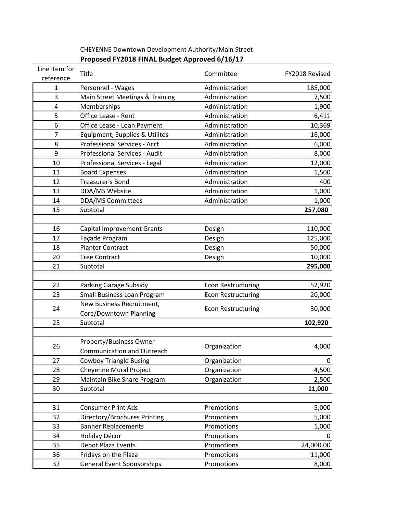| Line item for  |                                      |                           |                |
|----------------|--------------------------------------|---------------------------|----------------|
| reference      | Title                                | Committee                 | FY2018 Revised |
| 1              | Personnel - Wages                    | Administration            | 185,000        |
| 3              | Main Street Meetings & Training      | Administration            | 7,500          |
| 4              | Memberships                          | Administration            | 1,900          |
| 5              | Office Lease - Rent                  | Administration            | 6,411          |
| 6              | Office Lease - Loan Payment          | Administration            | 10,369         |
| $\overline{7}$ | Equipment, Supplies & Utilites       | Administration            | 16,000         |
| 8              | <b>Professional Services - Acct</b>  | Administration            | 6,000          |
| 9              | <b>Professional Services - Audit</b> | Administration            | 8,000          |
| 10             | Professional Services - Legal        | Administration            | 12,000         |
| 11             | <b>Board Expenses</b>                | Administration            | 1,500          |
| 12             | <b>Treasurer's Bond</b>              | Administration            | 400            |
| 13             | DDA/MS Website                       | Administration            | 1,000          |
| 14             | <b>DDA/MS Committees</b>             | Administration            | 1,000          |
| 15             | Subtotal                             |                           | 257,080        |
|                |                                      |                           |                |
| 16             | <b>Capital Improvement Grants</b>    | Design                    | 110,000        |
| 17             | Façade Program                       | Design                    | 125,000        |
| 18             | <b>Planter Contract</b>              | Design                    | 50,000         |
| 20             | <b>Tree Contract</b>                 | Design                    | 10,000         |
| 21             | Subtotal                             |                           | 295,000        |
|                |                                      |                           |                |
| 22             | Parking Garage Subsidy               | <b>Econ Restructuring</b> | 52,920         |
| 23             | <b>Small Business Loan Program</b>   | <b>Econ Restructuring</b> | 20,000         |
|                | New Business Recruitment,            | <b>Econ Restructuring</b> | 30,000         |
| 24             | Core/Downtown Planning               |                           |                |
| 25             | Subtotal                             |                           | 102,920        |
|                |                                      |                           |                |
| 26             | <b>Property/Business Owner</b>       | Organization              | 4,000          |
|                | <b>Communication and Outreach</b>    |                           |                |
| 27             | <b>Cowboy Triangle Busing</b>        | Organization              | $\mathbf 0$    |
| 28             | <b>Cheyenne Mural Project</b>        | Organization              | 4,500          |
| 29             | Maintain Bike Share Program          | Organization              | 2,500          |
| 30             | Subtotal                             |                           | 11,000         |
|                |                                      |                           |                |
| 31             | <b>Consumer Print Ads</b>            | Promotions                | 5,000          |
| 32             | Directory/Brochures Printing         | Promotions                | 5,000          |
| 33             | <b>Banner Replacements</b>           | Promotions                | 1,000          |
| 34             | Holiday Décor                        | Promotions                | 0              |
| 35             | Depot Plaza Events                   | Promotions                | 24,000.00      |
| 36             | Fridays on the Plaza                 | Promotions                | 11,000         |
| 37             | <b>General Event Sponsorships</b>    | Promotions                | 8,000          |

## CHEYENNE Downtown Development Authority/Main Street **Proposed FY2018 FINAL Budget Approved 6/16/17**